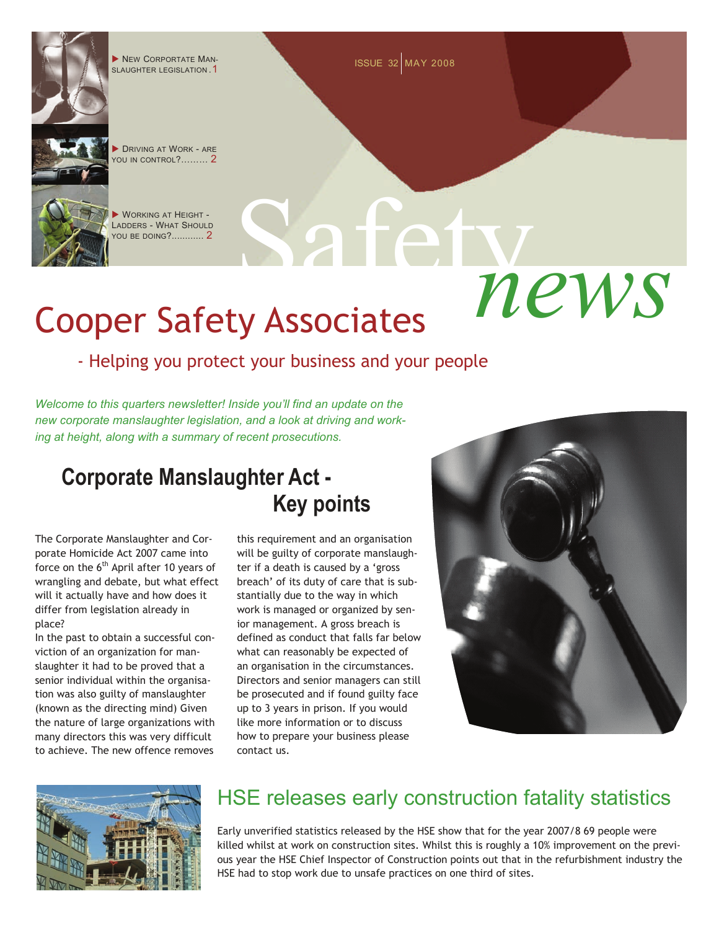

# Cooper Safety Associates

### - Helping you protect your business and your people

*Welcome to this quarters newsletter! Inside you'll find an update on the new corporate manslaughter legislation, and a look at driving and working at height, along with a summary of recent prosecutions.* 

## **Corporate Manslaughter Act - Key points**

The Corporate Manslaughter and Corporate Homicide Act 2007 came into force on the  $6<sup>th</sup>$  April after 10 years of wrangling and debate, but what effect will it actually have and how does it differ from legislation already in place?

In the past to obtain a successful conviction of an organization for manslaughter it had to be proved that a senior individual within the organisation was also guilty of manslaughter (known as the directing mind) Given the nature of large organizations with many directors this was very difficult to achieve. The new offence removes

this requirement and an organisation will be guilty of corporate manslaughter if a death is caused by a 'gross breach' of its duty of care that is substantially due to the way in which work is managed or organized by senior management. A gross breach is defined as conduct that falls far below what can reasonably be expected of an organisation in the circumstances. Directors and senior managers can still be prosecuted and if found guilty face up to 3 years in prison. If you would like more information or to discuss how to prepare your business please contact us.





## HSE releases early construction fatality statistics

Early unverified statistics released by the HSE show that for the year 2007/8 69 people were killed whilst at work on construction sites. Whilst this is roughly a 10% improvement on the previous year the HSE Chief Inspector of Construction points out that in the refurbishment industry the HSE had to stop work due to unsafe practices on one third of sites.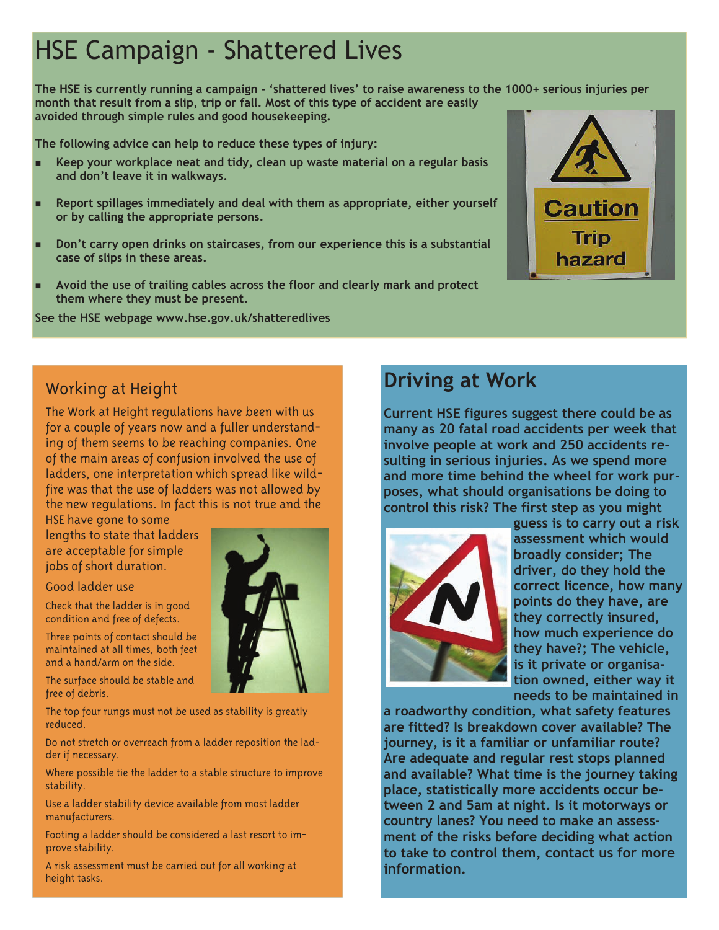- 
- 
- 
- 





**Current HSE figures suggest there could be as many as 20 fatal road accidents per week that involve people at work and 250 accidents resulting in serious injuries. As we spend more and more time behind the wheel for work purposes, what should organisations be doing to control this risk? The first step as you might** 



**guess is to carry out a risk assessment which would broadly consider; The driver, do they hold the correct licence, how many points do they have, are they correctly insured, how much experience do they have?; The vehicle, is it private or organisation owned, either way it needs to be maintained in** 

**a roadworthy condition, what safety features are fitted? Is breakdown cover available? The journey, is it a familiar or unfamiliar route? Are adequate and regular rest stops planned and available? What time is the journey taking place, statistically more accidents occur between 2 and 5am at night. Is it motorways or country lanes? You need to make an assessment of the risks before deciding what action to take to control them, contact us for more information.**